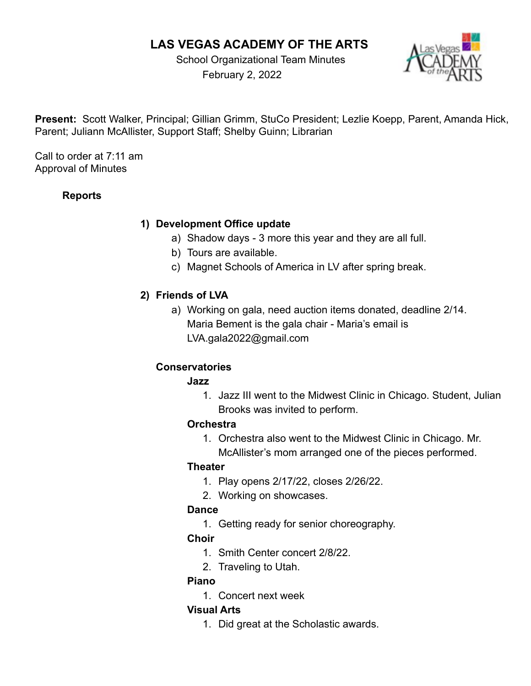# **LAS VEGAS ACADEMY OF THE ARTS**

School Organizational Team Minutes February 2, 2022



**Present:** Scott Walker, Principal; Gillian Grimm, StuCo President; Lezlie Koepp, Parent, Amanda Hick, Parent; Juliann McAllister, Support Staff; Shelby Guinn; Librarian

Call to order at 7:11 am Approval of Minutes

# **Reports**

#### **1) Development Office update**

- a) Shadow days 3 more this year and they are all full.
- b) Tours are available.
- c) Magnet Schools of America in LV after spring break.

# **2) Friends of LVA**

a) Working on gala, need auction items donated, deadline 2/14. Maria Bement is the gala chair - Maria's email is LVA.gala2022@gmail.com

# **Conservatories**

#### **Jazz**

1. Jazz III went to the Midwest Clinic in Chicago. Student, Julian Brooks was invited to perform.

#### **Orchestra**

1. Orchestra also went to the Midwest Clinic in Chicago. Mr. McAllister's mom arranged one of the pieces performed.

# **Theater**

- 1. Play opens 2/17/22, closes 2/26/22.
- 2. Working on showcases.

# **Dance**

1. Getting ready for senior choreography.

# **Choir**

- 1. Smith Center concert 2/8/22.
- 2. Traveling to Utah.

# **Piano**

1. Concert next week

# **Visual Arts**

1. Did great at the Scholastic awards.